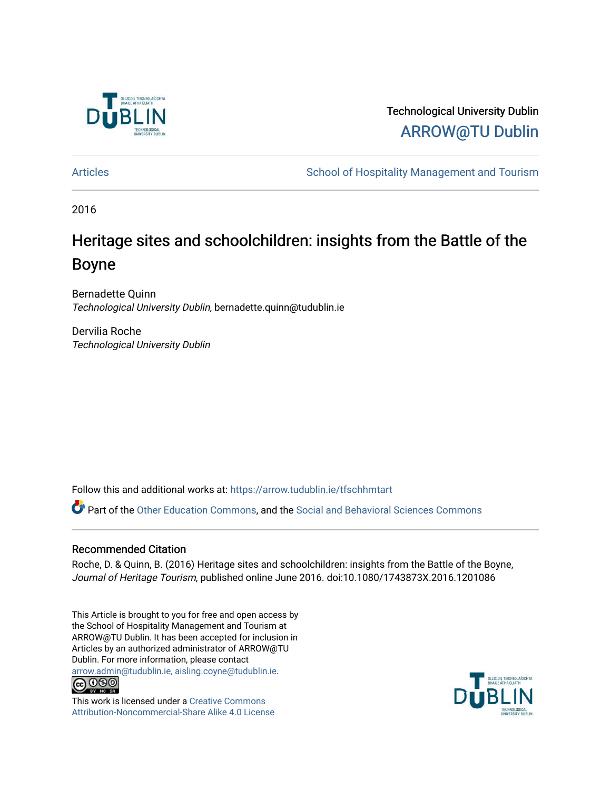

Technological University Dublin [ARROW@TU Dublin](https://arrow.tudublin.ie/) 

[Articles](https://arrow.tudublin.ie/tfschhmtart) **School of Hospitality Management and Tourism** 

2016

# Heritage sites and schoolchildren: insights from the Battle of the Boyne

Bernadette Quinn Technological University Dublin, bernadette.quinn@tudublin.ie

Dervilia Roche Technological University Dublin

Follow this and additional works at: [https://arrow.tudublin.ie/tfschhmtart](https://arrow.tudublin.ie/tfschhmtart?utm_source=arrow.tudublin.ie%2Ftfschhmtart%2F67&utm_medium=PDF&utm_campaign=PDFCoverPages) 

Part of the [Other Education Commons,](http://network.bepress.com/hgg/discipline/811?utm_source=arrow.tudublin.ie%2Ftfschhmtart%2F67&utm_medium=PDF&utm_campaign=PDFCoverPages) and the [Social and Behavioral Sciences Commons](http://network.bepress.com/hgg/discipline/316?utm_source=arrow.tudublin.ie%2Ftfschhmtart%2F67&utm_medium=PDF&utm_campaign=PDFCoverPages)

# Recommended Citation

Roche, D. & Quinn, B. (2016) Heritage sites and schoolchildren: insights from the Battle of the Boyne, Journal of Heritage Tourism, published online June 2016. doi:10.1080/1743873X.2016.1201086

This Article is brought to you for free and open access by the School of Hospitality Management and Tourism at ARROW@TU Dublin. It has been accepted for inclusion in Articles by an authorized administrator of ARROW@TU Dublin. For more information, please contact [arrow.admin@tudublin.ie, aisling.coyne@tudublin.ie](mailto:arrow.admin@tudublin.ie,%20aisling.coyne@tudublin.ie).<br>
co 000



This work is licensed under a [Creative Commons](http://creativecommons.org/licenses/by-nc-sa/4.0/) [Attribution-Noncommercial-Share Alike 4.0 License](http://creativecommons.org/licenses/by-nc-sa/4.0/)

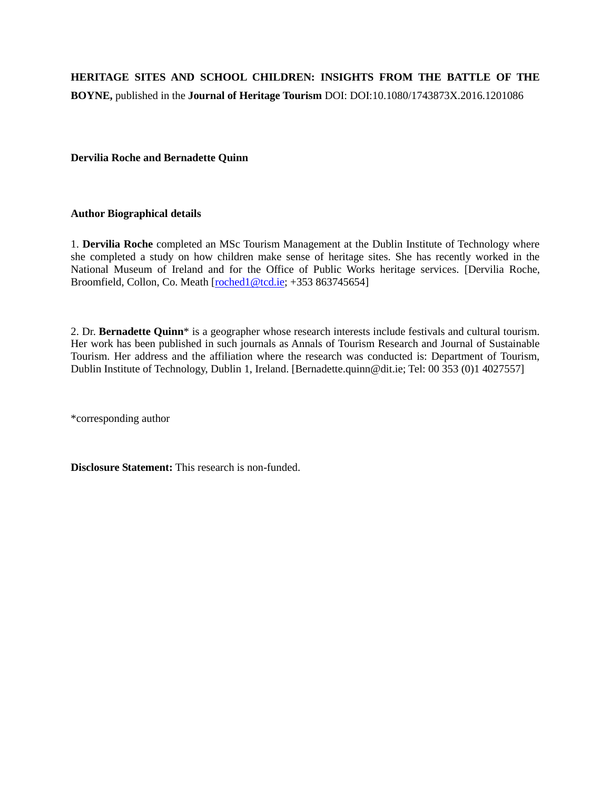# **HERITAGE SITES AND SCHOOL CHILDREN: INSIGHTS FROM THE BATTLE OF THE BOYNE,** published in the **Journal of Heritage Tourism** DOI: DOI:10.1080/1743873X.2016.1201086

# **Dervilia Roche and Bernadette Quinn**

# **Author Biographical details**

1. **Dervilia Roche** completed an MSc Tourism Management at the Dublin Institute of Technology where she completed a study on how children make sense of heritage sites. She has recently worked in the National Museum of Ireland and for the Office of Public Works heritage services. [Dervilia Roche, Broomfield, Collon, Co. Meath [\[roched1@tcd.ie;](mailto:roched1@tcd.ie) +353 863745654]

2. Dr. **Bernadette Quinn**\* is a geographer whose research interests include festivals and cultural tourism. Her work has been published in such journals as Annals of Tourism Research and Journal of Sustainable Tourism. Her address and the affiliation where the research was conducted is: Department of Tourism, Dublin Institute of Technology, Dublin 1, Ireland. [Bernadette.quinn@dit.ie; Tel: 00 353 (0)1 4027557]

\*corresponding author

**Disclosure Statement:** This research is non-funded.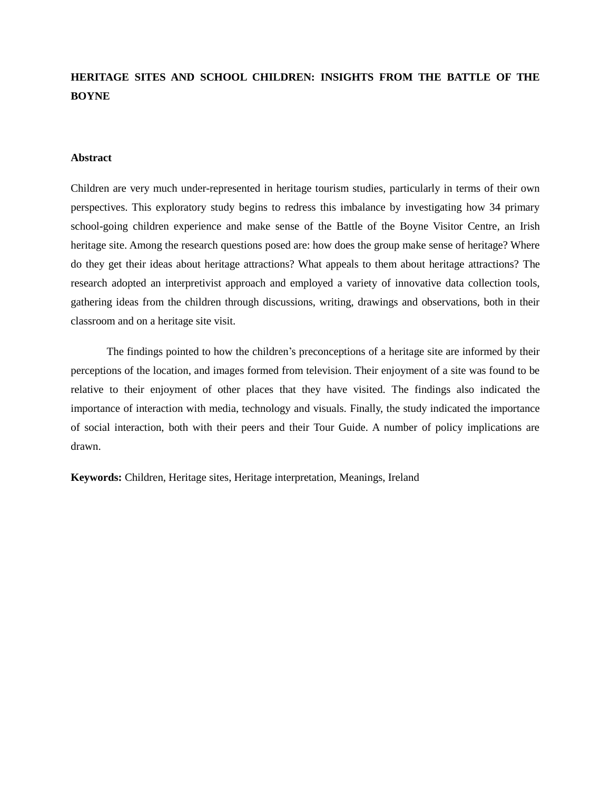# **HERITAGE SITES AND SCHOOL CHILDREN: INSIGHTS FROM THE BATTLE OF THE BOYNE**

#### **Abstract**

Children are very much under-represented in heritage tourism studies, particularly in terms of their own perspectives. This exploratory study begins to redress this imbalance by investigating how 34 primary school-going children experience and make sense of the Battle of the Boyne Visitor Centre, an Irish heritage site. Among the research questions posed are: how does the group make sense of heritage? Where do they get their ideas about heritage attractions? What appeals to them about heritage attractions? The research adopted an interpretivist approach and employed a variety of innovative data collection tools, gathering ideas from the children through discussions, writing, drawings and observations, both in their classroom and on a heritage site visit.

The findings pointed to how the children's preconceptions of a heritage site are informed by their perceptions of the location, and images formed from television. Their enjoyment of a site was found to be relative to their enjoyment of other places that they have visited. The findings also indicated the importance of interaction with media, technology and visuals. Finally, the study indicated the importance of social interaction, both with their peers and their Tour Guide. A number of policy implications are drawn.

**Keywords:** Children, Heritage sites, Heritage interpretation, Meanings, Ireland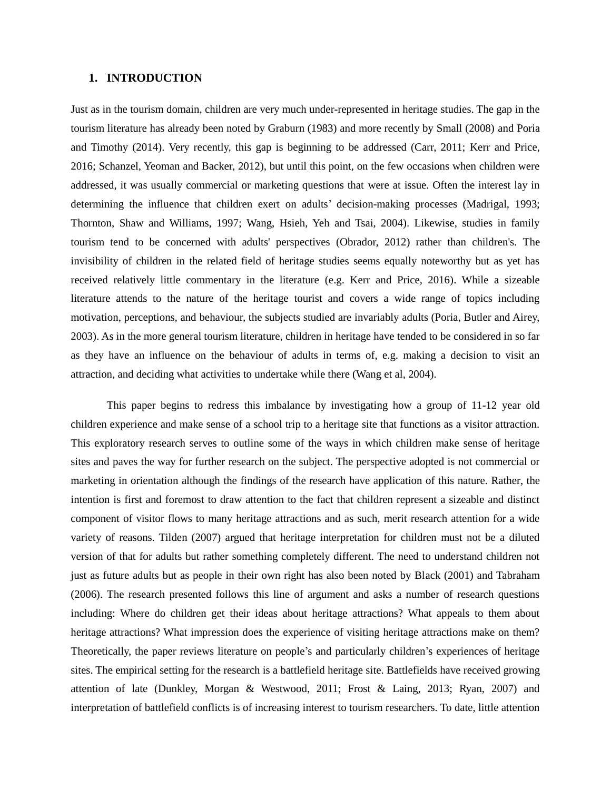#### **1. INTRODUCTION**

Just as in the tourism domain, children are very much under-represented in heritage studies. The gap in the tourism literature has already been noted by Graburn (1983) and more recently by Small (2008) and Poria and Timothy (2014). Very recently, this gap is beginning to be addressed (Carr, 2011; Kerr and Price, 2016; Schanzel, Yeoman and Backer, 2012), but until this point, on the few occasions when children were addressed, it was usually commercial or marketing questions that were at issue. Often the interest lay in determining the influence that children exert on adults' decision-making processes (Madrigal, 1993; Thornton, Shaw and Williams, 1997; Wang, Hsieh, Yeh and Tsai, 2004). Likewise, studies in family tourism tend to be concerned with adults' perspectives (Obrador, 2012) rather than children's. The invisibility of children in the related field of heritage studies seems equally noteworthy but as yet has received relatively little commentary in the literature (e.g. Kerr and Price, 2016). While a sizeable literature attends to the nature of the heritage tourist and covers a wide range of topics including motivation, perceptions, and behaviour, the subjects studied are invariably adults (Poria, Butler and Airey, 2003). As in the more general tourism literature, children in heritage have tended to be considered in so far as they have an influence on the behaviour of adults in terms of, e.g. making a decision to visit an attraction, and deciding what activities to undertake while there (Wang et al, 2004).

This paper begins to redress this imbalance by investigating how a group of 11-12 year old children experience and make sense of a school trip to a heritage site that functions as a visitor attraction. This exploratory research serves to outline some of the ways in which children make sense of heritage sites and paves the way for further research on the subject. The perspective adopted is not commercial or marketing in orientation although the findings of the research have application of this nature. Rather, the intention is first and foremost to draw attention to the fact that children represent a sizeable and distinct component of visitor flows to many heritage attractions and as such, merit research attention for a wide variety of reasons. Tilden (2007) argued that heritage interpretation for children must not be a diluted version of that for adults but rather something completely different. The need to understand children not just as future adults but as people in their own right has also been noted by Black (2001) and Tabraham (2006). The research presented follows this line of argument and asks a number of research questions including: Where do children get their ideas about heritage attractions? What appeals to them about heritage attractions? What impression does the experience of visiting heritage attractions make on them? Theoretically, the paper reviews literature on people's and particularly children's experiences of heritage sites. The empirical setting for the research is a battlefield heritage site. Battlefields have received growing attention of late (Dunkley, Morgan & Westwood, 2011; Frost & Laing, 2013; Ryan, 2007) and interpretation of battlefield conflicts is of increasing interest to tourism researchers. To date, little attention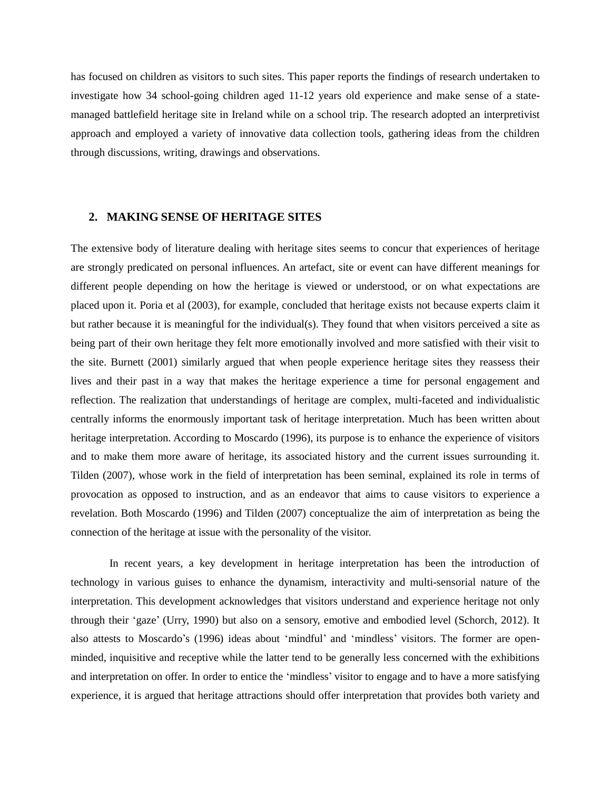has focused on children as visitors to such sites. This paper reports the findings of research undertaken to investigate how 34 school-going children aged 11-12 years old experience and make sense of a statemanaged battlefield heritage site in Ireland while on a school trip. The research adopted an interpretivist approach and employed a variety of innovative data collection tools, gathering ideas from the children through discussions, writing, drawings and observations.

#### **2. MAKING SENSE OF HERITAGE SITES**

The extensive body of literature dealing with heritage sites seems to concur that experiences of heritage are strongly predicated on personal influences. An artefact, site or event can have different meanings for different people depending on how the heritage is viewed or understood, or on what expectations are placed upon it. Poria et al (2003), for example, concluded that heritage exists not because experts claim it but rather because it is meaningful for the individual(s). They found that when visitors perceived a site as being part of their own heritage they felt more emotionally involved and more satisfied with their visit to the site. Burnett (2001) similarly argued that when people experience heritage sites they reassess their lives and their past in a way that makes the heritage experience a time for personal engagement and reflection. The realization that understandings of heritage are complex, multi-faceted and individualistic centrally informs the enormously important task of heritage interpretation. Much has been written about heritage interpretation. According to Moscardo (1996), its purpose is to enhance the experience of visitors and to make them more aware of heritage, its associated history and the current issues surrounding it. Tilden (2007), whose work in the field of interpretation has been seminal, explained its role in terms of provocation as opposed to instruction, and as an endeavor that aims to cause visitors to experience a revelation. Both Moscardo (1996) and Tilden (2007) conceptualize the aim of interpretation as being the connection of the heritage at issue with the personality of the visitor.

In recent years, a key development in heritage interpretation has been the introduction of technology in various guises to enhance the dynamism, interactivity and multi-sensorial nature of the interpretation. This development acknowledges that visitors understand and experience heritage not only through their 'gaze' (Urry, 1990) but also on a sensory, emotive and embodied level (Schorch, 2012). It also attests to Moscardo's (1996) ideas about 'mindful' and 'mindless' visitors. The former are openminded, inquisitive and receptive while the latter tend to be generally less concerned with the exhibitions and interpretation on offer. In order to entice the 'mindless' visitor to engage and to have a more satisfying experience, it is argued that heritage attractions should offer interpretation that provides both variety and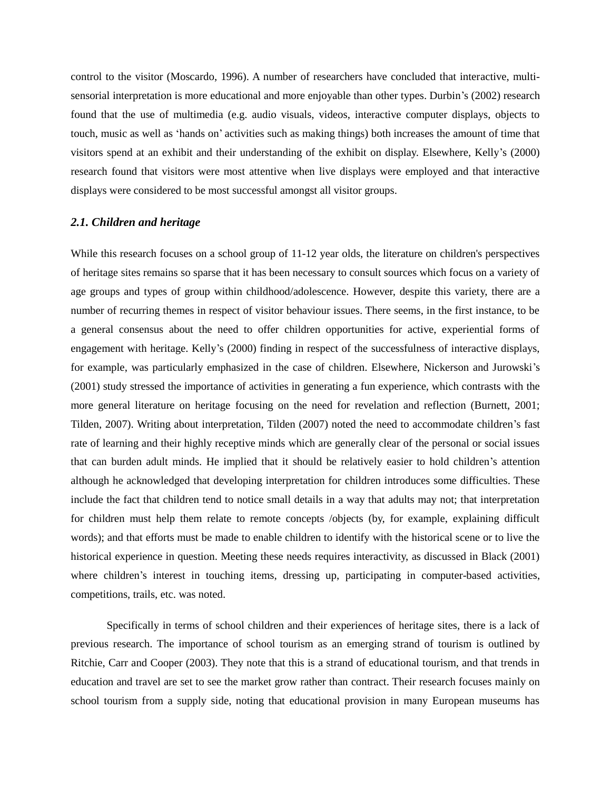control to the visitor (Moscardo, 1996). A number of researchers have concluded that interactive, multisensorial interpretation is more educational and more enjoyable than other types. Durbin's (2002) research found that the use of multimedia (e.g. audio visuals, videos, interactive computer displays, objects to touch, music as well as 'hands on' activities such as making things) both increases the amount of time that visitors spend at an exhibit and their understanding of the exhibit on display. Elsewhere, Kelly's (2000) research found that visitors were most attentive when live displays were employed and that interactive displays were considered to be most successful amongst all visitor groups.

# *2.1. Children and heritage*

While this research focuses on a school group of 11-12 year olds, the literature on children's perspectives of heritage sites remains so sparse that it has been necessary to consult sources which focus on a variety of age groups and types of group within childhood/adolescence. However, despite this variety, there are a number of recurring themes in respect of visitor behaviour issues. There seems, in the first instance, to be a general consensus about the need to offer children opportunities for active, experiential forms of engagement with heritage. Kelly's (2000) finding in respect of the successfulness of interactive displays, for example, was particularly emphasized in the case of children. Elsewhere, Nickerson and Jurowski's (2001) study stressed the importance of activities in generating a fun experience, which contrasts with the more general literature on heritage focusing on the need for revelation and reflection (Burnett, 2001; Tilden, 2007). Writing about interpretation, Tilden (2007) noted the need to accommodate children's fast rate of learning and their highly receptive minds which are generally clear of the personal or social issues that can burden adult minds. He implied that it should be relatively easier to hold children's attention although he acknowledged that developing interpretation for children introduces some difficulties. These include the fact that children tend to notice small details in a way that adults may not; that interpretation for children must help them relate to remote concepts /objects (by, for example, explaining difficult words); and that efforts must be made to enable children to identify with the historical scene or to live the historical experience in question. Meeting these needs requires interactivity, as discussed in Black (2001) where children's interest in touching items, dressing up, participating in computer-based activities, competitions, trails, etc. was noted.

Specifically in terms of school children and their experiences of heritage sites, there is a lack of previous research. The importance of school tourism as an emerging strand of tourism is outlined by Ritchie, Carr and Cooper (2003). They note that this is a strand of educational tourism, and that trends in education and travel are set to see the market grow rather than contract. Their research focuses mainly on school tourism from a supply side, noting that educational provision in many European museums has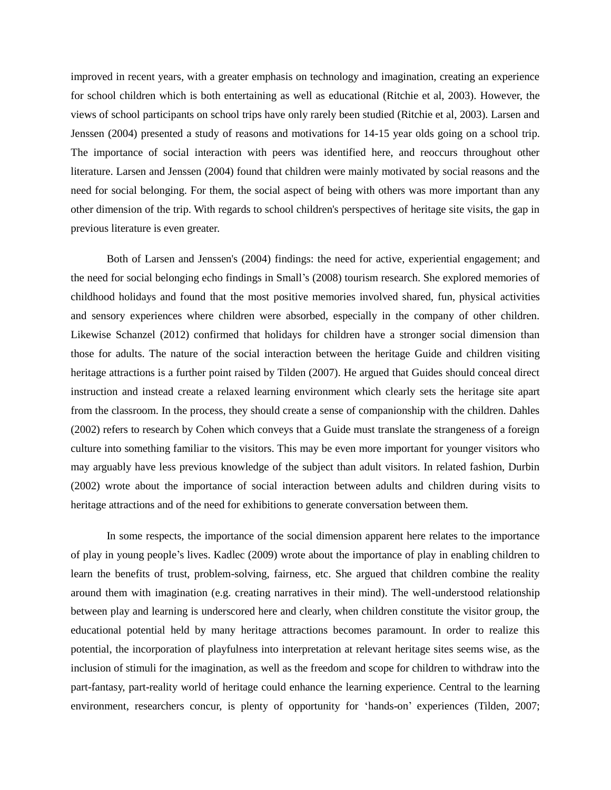improved in recent years, with a greater emphasis on technology and imagination, creating an experience for school children which is both entertaining as well as educational (Ritchie et al, 2003). However, the views of school participants on school trips have only rarely been studied (Ritchie et al, 2003). Larsen and Jenssen (2004) presented a study of reasons and motivations for 14-15 year olds going on a school trip. The importance of social interaction with peers was identified here, and reoccurs throughout other literature. Larsen and Jenssen (2004) found that children were mainly motivated by social reasons and the need for social belonging. For them, the social aspect of being with others was more important than any other dimension of the trip. With regards to school children's perspectives of heritage site visits, the gap in previous literature is even greater.

Both of Larsen and Jenssen's (2004) findings: the need for active, experiential engagement; and the need for social belonging echo findings in Small's (2008) tourism research. She explored memories of childhood holidays and found that the most positive memories involved shared, fun, physical activities and sensory experiences where children were absorbed, especially in the company of other children. Likewise Schanzel (2012) confirmed that holidays for children have a stronger social dimension than those for adults. The nature of the social interaction between the heritage Guide and children visiting heritage attractions is a further point raised by Tilden (2007). He argued that Guides should conceal direct instruction and instead create a relaxed learning environment which clearly sets the heritage site apart from the classroom. In the process, they should create a sense of companionship with the children. Dahles (2002) refers to research by Cohen which conveys that a Guide must translate the strangeness of a foreign culture into something familiar to the visitors. This may be even more important for younger visitors who may arguably have less previous knowledge of the subject than adult visitors. In related fashion, Durbin (2002) wrote about the importance of social interaction between adults and children during visits to heritage attractions and of the need for exhibitions to generate conversation between them.

In some respects, the importance of the social dimension apparent here relates to the importance of play in young people's lives. Kadlec (2009) wrote about the importance of play in enabling children to learn the benefits of trust, problem-solving, fairness, etc. She argued that children combine the reality around them with imagination (e.g. creating narratives in their mind). The well-understood relationship between play and learning is underscored here and clearly, when children constitute the visitor group, the educational potential held by many heritage attractions becomes paramount. In order to realize this potential, the incorporation of playfulness into interpretation at relevant heritage sites seems wise, as the inclusion of stimuli for the imagination, as well as the freedom and scope for children to withdraw into the part-fantasy, part-reality world of heritage could enhance the learning experience. Central to the learning environment, researchers concur, is plenty of opportunity for 'hands-on' experiences (Tilden, 2007;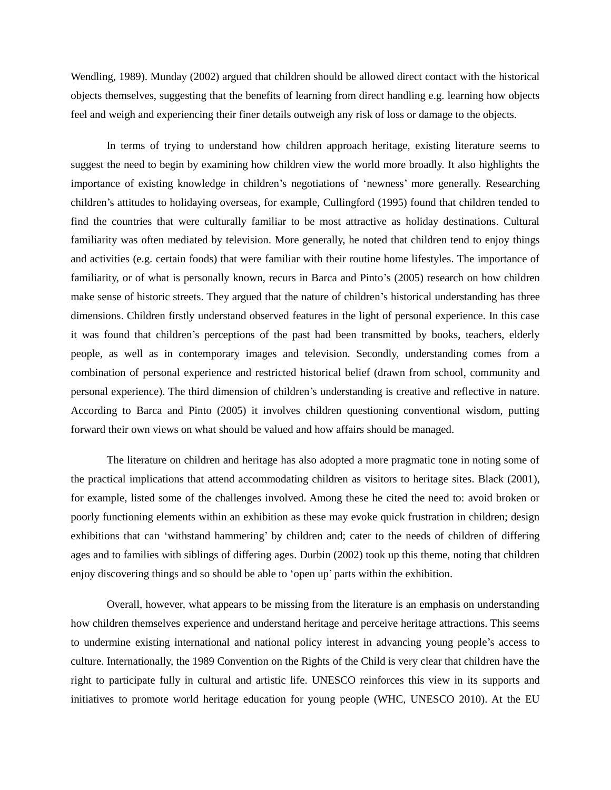Wendling, 1989). Munday (2002) argued that children should be allowed direct contact with the historical objects themselves, suggesting that the benefits of learning from direct handling e.g. learning how objects feel and weigh and experiencing their finer details outweigh any risk of loss or damage to the objects.

In terms of trying to understand how children approach heritage, existing literature seems to suggest the need to begin by examining how children view the world more broadly. It also highlights the importance of existing knowledge in children's negotiations of 'newness' more generally. Researching children's attitudes to holidaying overseas, for example, Cullingford (1995) found that children tended to find the countries that were culturally familiar to be most attractive as holiday destinations. Cultural familiarity was often mediated by television. More generally, he noted that children tend to enjoy things and activities (e.g. certain foods) that were familiar with their routine home lifestyles. The importance of familiarity, or of what is personally known, recurs in Barca and Pinto's (2005) research on how children make sense of historic streets. They argued that the nature of children's historical understanding has three dimensions. Children firstly understand observed features in the light of personal experience. In this case it was found that children's perceptions of the past had been transmitted by books, teachers, elderly people, as well as in contemporary images and television. Secondly, understanding comes from a combination of personal experience and restricted historical belief (drawn from school, community and personal experience). The third dimension of children's understanding is creative and reflective in nature. According to Barca and Pinto (2005) it involves children questioning conventional wisdom, putting forward their own views on what should be valued and how affairs should be managed.

The literature on children and heritage has also adopted a more pragmatic tone in noting some of the practical implications that attend accommodating children as visitors to heritage sites. Black (2001), for example, listed some of the challenges involved. Among these he cited the need to: avoid broken or poorly functioning elements within an exhibition as these may evoke quick frustration in children; design exhibitions that can 'withstand hammering' by children and; cater to the needs of children of differing ages and to families with siblings of differing ages. Durbin (2002) took up this theme, noting that children enjoy discovering things and so should be able to 'open up' parts within the exhibition.

Overall, however, what appears to be missing from the literature is an emphasis on understanding how children themselves experience and understand heritage and perceive heritage attractions. This seems to undermine existing international and national policy interest in advancing young people's access to culture. Internationally, the 1989 Convention on the Rights of the Child is very clear that children have the right to participate fully in cultural and artistic life. UNESCO reinforces this view in its supports and initiatives to promote world heritage education for young people (WHC, UNESCO 2010). At the EU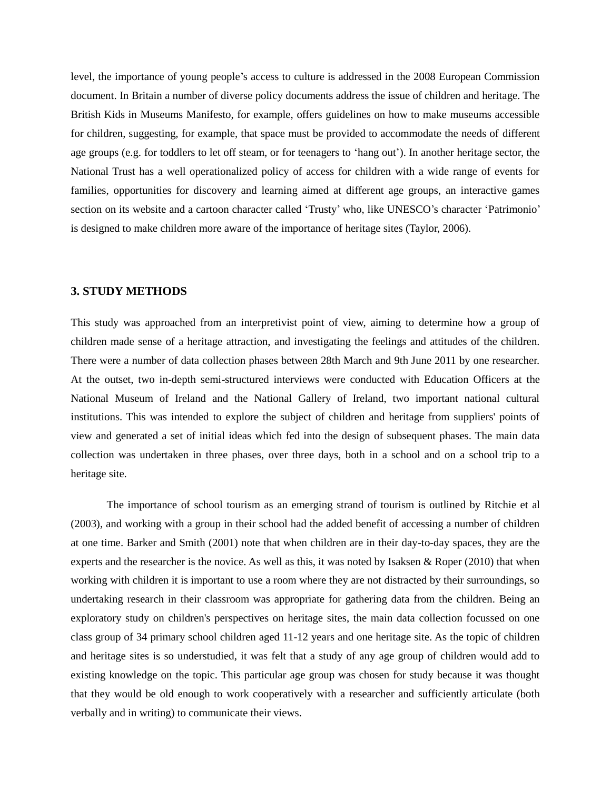level, the importance of young people's access to culture is addressed in the 2008 European Commission document. In Britain a number of diverse policy documents address the issue of children and heritage. The British Kids in Museums Manifesto, for example, offers guidelines on how to make museums accessible for children, suggesting, for example, that space must be provided to accommodate the needs of different age groups (e.g. for toddlers to let off steam, or for teenagers to 'hang out'). In another heritage sector, the National Trust has a well operationalized policy of access for children with a wide range of events for families, opportunities for discovery and learning aimed at different age groups, an interactive games section on its website and a cartoon character called 'Trusty' who, like UNESCO's character 'Patrimonio' is designed to make children more aware of the importance of heritage sites (Taylor, 2006).

#### **3. STUDY METHODS**

This study was approached from an interpretivist point of view, aiming to determine how a group of children made sense of a heritage attraction, and investigating the feelings and attitudes of the children. There were a number of data collection phases between 28th March and 9th June 2011 by one researcher. At the outset, two in-depth semi-structured interviews were conducted with Education Officers at the National Museum of Ireland and the National Gallery of Ireland, two important national cultural institutions. This was intended to explore the subject of children and heritage from suppliers' points of view and generated a set of initial ideas which fed into the design of subsequent phases. The main data collection was undertaken in three phases, over three days, both in a school and on a school trip to a heritage site.

The importance of school tourism as an emerging strand of tourism is outlined by Ritchie et al (2003), and working with a group in their school had the added benefit of accessing a number of children at one time. Barker and Smith (2001) note that when children are in their day-to-day spaces, they are the experts and the researcher is the novice. As well as this, it was noted by Isaksen & Roper (2010) that when working with children it is important to use a room where they are not distracted by their surroundings, so undertaking research in their classroom was appropriate for gathering data from the children. Being an exploratory study on children's perspectives on heritage sites, the main data collection focussed on one class group of 34 primary school children aged 11-12 years and one heritage site. As the topic of children and heritage sites is so understudied, it was felt that a study of any age group of children would add to existing knowledge on the topic. This particular age group was chosen for study because it was thought that they would be old enough to work cooperatively with a researcher and sufficiently articulate (both verbally and in writing) to communicate their views.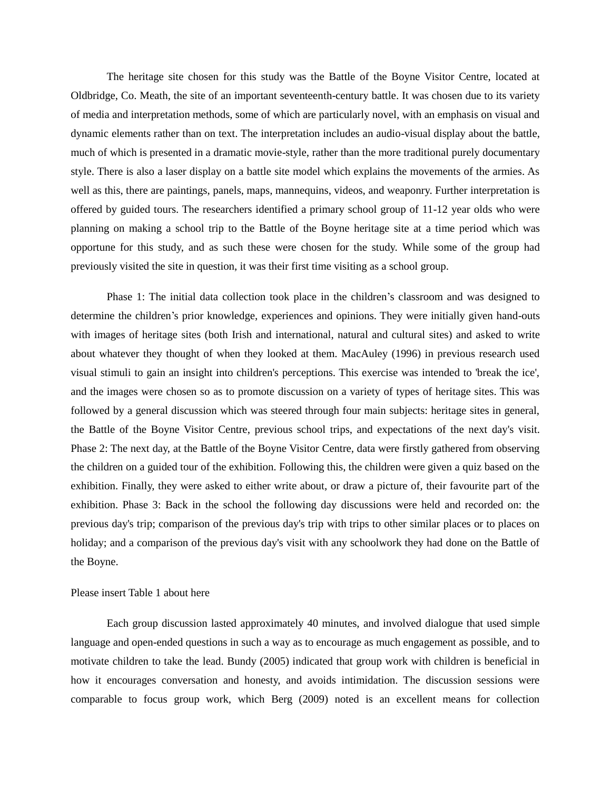The heritage site chosen for this study was the Battle of the Boyne Visitor Centre, located at Oldbridge, Co. Meath, the site of an important seventeenth-century battle. It was chosen due to its variety of media and interpretation methods, some of which are particularly novel, with an emphasis on visual and dynamic elements rather than on text. The interpretation includes an audio-visual display about the battle, much of which is presented in a dramatic movie-style, rather than the more traditional purely documentary style. There is also a laser display on a battle site model which explains the movements of the armies. As well as this, there are paintings, panels, maps, mannequins, videos, and weaponry. Further interpretation is offered by guided tours. The researchers identified a primary school group of 11-12 year olds who were planning on making a school trip to the Battle of the Boyne heritage site at a time period which was opportune for this study, and as such these were chosen for the study. While some of the group had previously visited the site in question, it was their first time visiting as a school group.

Phase 1: The initial data collection took place in the children's classroom and was designed to determine the children's prior knowledge, experiences and opinions. They were initially given hand-outs with images of heritage sites (both Irish and international, natural and cultural sites) and asked to write about whatever they thought of when they looked at them. MacAuley (1996) in previous research used visual stimuli to gain an insight into children's perceptions. This exercise was intended to 'break the ice', and the images were chosen so as to promote discussion on a variety of types of heritage sites. This was followed by a general discussion which was steered through four main subjects: heritage sites in general, the Battle of the Boyne Visitor Centre, previous school trips, and expectations of the next day's visit. Phase 2: The next day, at the Battle of the Boyne Visitor Centre, data were firstly gathered from observing the children on a guided tour of the exhibition. Following this, the children were given a quiz based on the exhibition. Finally, they were asked to either write about, or draw a picture of, their favourite part of the exhibition. Phase 3: Back in the school the following day discussions were held and recorded on: the previous day's trip; comparison of the previous day's trip with trips to other similar places or to places on holiday; and a comparison of the previous day's visit with any schoolwork they had done on the Battle of the Boyne.

#### Please insert Table 1 about here

Each group discussion lasted approximately 40 minutes, and involved dialogue that used simple language and open-ended questions in such a way as to encourage as much engagement as possible, and to motivate children to take the lead. Bundy (2005) indicated that group work with children is beneficial in how it encourages conversation and honesty, and avoids intimidation. The discussion sessions were comparable to focus group work, which Berg (2009) noted is an excellent means for collection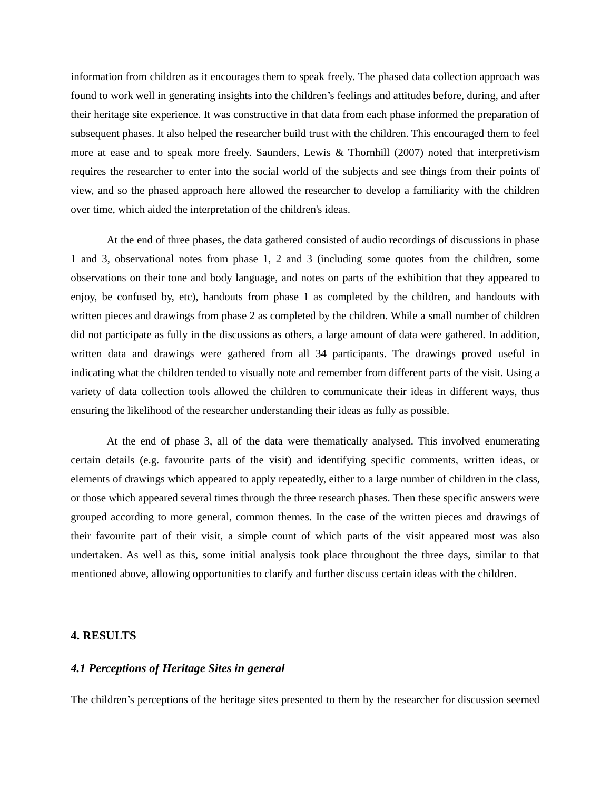information from children as it encourages them to speak freely. The phased data collection approach was found to work well in generating insights into the children's feelings and attitudes before, during, and after their heritage site experience. It was constructive in that data from each phase informed the preparation of subsequent phases. It also helped the researcher build trust with the children. This encouraged them to feel more at ease and to speak more freely. Saunders, Lewis & Thornhill (2007) noted that interpretivism requires the researcher to enter into the social world of the subjects and see things from their points of view, and so the phased approach here allowed the researcher to develop a familiarity with the children over time, which aided the interpretation of the children's ideas.

At the end of three phases, the data gathered consisted of audio recordings of discussions in phase 1 and 3, observational notes from phase 1, 2 and 3 (including some quotes from the children, some observations on their tone and body language, and notes on parts of the exhibition that they appeared to enjoy, be confused by, etc), handouts from phase 1 as completed by the children, and handouts with written pieces and drawings from phase 2 as completed by the children. While a small number of children did not participate as fully in the discussions as others, a large amount of data were gathered. In addition, written data and drawings were gathered from all 34 participants. The drawings proved useful in indicating what the children tended to visually note and remember from different parts of the visit. Using a variety of data collection tools allowed the children to communicate their ideas in different ways, thus ensuring the likelihood of the researcher understanding their ideas as fully as possible.

At the end of phase 3, all of the data were thematically analysed. This involved enumerating certain details (e.g. favourite parts of the visit) and identifying specific comments, written ideas, or elements of drawings which appeared to apply repeatedly, either to a large number of children in the class, or those which appeared several times through the three research phases. Then these specific answers were grouped according to more general, common themes. In the case of the written pieces and drawings of their favourite part of their visit, a simple count of which parts of the visit appeared most was also undertaken. As well as this, some initial analysis took place throughout the three days, similar to that mentioned above, allowing opportunities to clarify and further discuss certain ideas with the children.

# **4. RESULTS**

## *4.1 Perceptions of Heritage Sites in general*

The children's perceptions of the heritage sites presented to them by the researcher for discussion seemed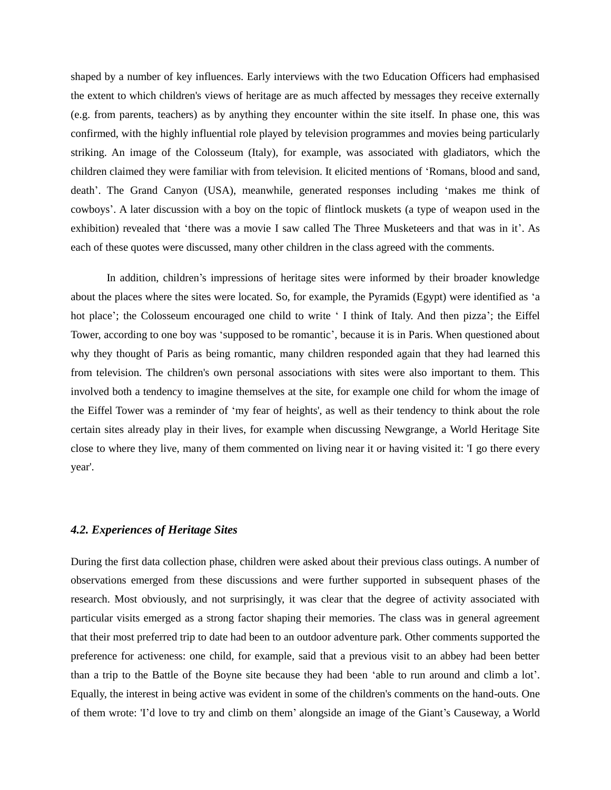shaped by a number of key influences. Early interviews with the two Education Officers had emphasised the extent to which children's views of heritage are as much affected by messages they receive externally (e.g. from parents, teachers) as by anything they encounter within the site itself. In phase one, this was confirmed, with the highly influential role played by television programmes and movies being particularly striking. An image of the Colosseum (Italy), for example, was associated with gladiators, which the children claimed they were familiar with from television. It elicited mentions of 'Romans, blood and sand, death'. The Grand Canyon (USA), meanwhile, generated responses including 'makes me think of cowboys'. A later discussion with a boy on the topic of flintlock muskets (a type of weapon used in the exhibition) revealed that 'there was a movie I saw called The Three Musketeers and that was in it'. As each of these quotes were discussed, many other children in the class agreed with the comments.

In addition, children's impressions of heritage sites were informed by their broader knowledge about the places where the sites were located. So, for example, the Pyramids (Egypt) were identified as 'a hot place'; the Colosseum encouraged one child to write ' I think of Italy. And then pizza'; the Eiffel Tower, according to one boy was 'supposed to be romantic', because it is in Paris. When questioned about why they thought of Paris as being romantic, many children responded again that they had learned this from television. The children's own personal associations with sites were also important to them. This involved both a tendency to imagine themselves at the site, for example one child for whom the image of the Eiffel Tower was a reminder of 'my fear of heights', as well as their tendency to think about the role certain sites already play in their lives, for example when discussing Newgrange, a World Heritage Site close to where they live, many of them commented on living near it or having visited it: 'I go there every year'.

### *4.2. Experiences of Heritage Sites*

During the first data collection phase, children were asked about their previous class outings. A number of observations emerged from these discussions and were further supported in subsequent phases of the research. Most obviously, and not surprisingly, it was clear that the degree of activity associated with particular visits emerged as a strong factor shaping their memories. The class was in general agreement that their most preferred trip to date had been to an outdoor adventure park. Other comments supported the preference for activeness: one child, for example, said that a previous visit to an abbey had been better than a trip to the Battle of the Boyne site because they had been 'able to run around and climb a lot'. Equally, the interest in being active was evident in some of the children's comments on the hand-outs. One of them wrote: 'I'd love to try and climb on them' alongside an image of the Giant's Causeway, a World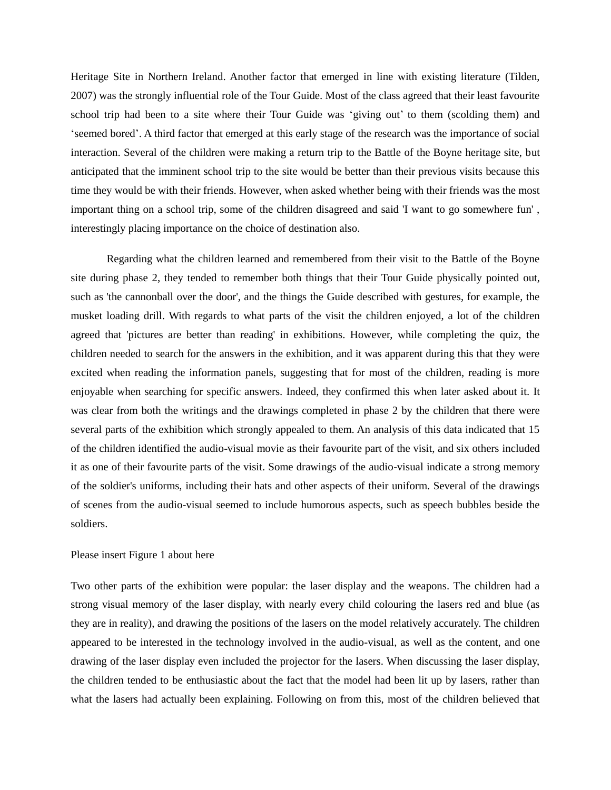Heritage Site in Northern Ireland. Another factor that emerged in line with existing literature (Tilden, 2007) was the strongly influential role of the Tour Guide. Most of the class agreed that their least favourite school trip had been to a site where their Tour Guide was 'giving out' to them (scolding them) and 'seemed bored'. A third factor that emerged at this early stage of the research was the importance of social interaction. Several of the children were making a return trip to the Battle of the Boyne heritage site, but anticipated that the imminent school trip to the site would be better than their previous visits because this time they would be with their friends. However, when asked whether being with their friends was the most important thing on a school trip, some of the children disagreed and said 'I want to go somewhere fun' , interestingly placing importance on the choice of destination also.

Regarding what the children learned and remembered from their visit to the Battle of the Boyne site during phase 2, they tended to remember both things that their Tour Guide physically pointed out, such as 'the cannonball over the door', and the things the Guide described with gestures, for example, the musket loading drill. With regards to what parts of the visit the children enjoyed, a lot of the children agreed that 'pictures are better than reading' in exhibitions. However, while completing the quiz, the children needed to search for the answers in the exhibition, and it was apparent during this that they were excited when reading the information panels, suggesting that for most of the children, reading is more enjoyable when searching for specific answers. Indeed, they confirmed this when later asked about it. It was clear from both the writings and the drawings completed in phase 2 by the children that there were several parts of the exhibition which strongly appealed to them. An analysis of this data indicated that 15 of the children identified the audio-visual movie as their favourite part of the visit, and six others included it as one of their favourite parts of the visit. Some drawings of the audio-visual indicate a strong memory of the soldier's uniforms, including their hats and other aspects of their uniform. Several of the drawings of scenes from the audio-visual seemed to include humorous aspects, such as speech bubbles beside the soldiers.

#### Please insert Figure 1 about here

Two other parts of the exhibition were popular: the laser display and the weapons. The children had a strong visual memory of the laser display, with nearly every child colouring the lasers red and blue (as they are in reality), and drawing the positions of the lasers on the model relatively accurately. The children appeared to be interested in the technology involved in the audio-visual, as well as the content, and one drawing of the laser display even included the projector for the lasers. When discussing the laser display, the children tended to be enthusiastic about the fact that the model had been lit up by lasers, rather than what the lasers had actually been explaining. Following on from this, most of the children believed that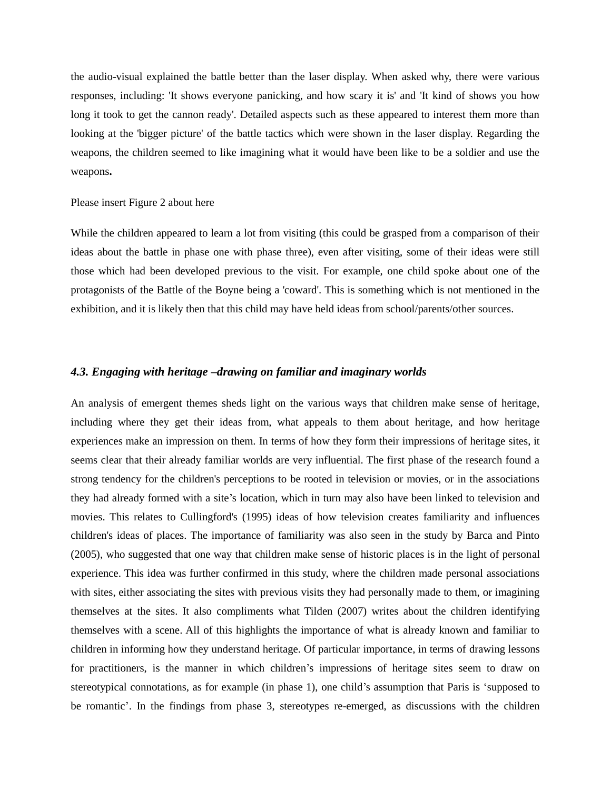the audio-visual explained the battle better than the laser display. When asked why, there were various responses, including: 'It shows everyone panicking, and how scary it is' and 'It kind of shows you how long it took to get the cannon ready'. Detailed aspects such as these appeared to interest them more than looking at the 'bigger picture' of the battle tactics which were shown in the laser display. Regarding the weapons, the children seemed to like imagining what it would have been like to be a soldier and use the weapons**.**

#### Please insert Figure 2 about here

While the children appeared to learn a lot from visiting (this could be grasped from a comparison of their ideas about the battle in phase one with phase three), even after visiting, some of their ideas were still those which had been developed previous to the visit. For example, one child spoke about one of the protagonists of the Battle of the Boyne being a 'coward'. This is something which is not mentioned in the exhibition, and it is likely then that this child may have held ideas from school/parents/other sources.

#### *4.3. Engaging with heritage –drawing on familiar and imaginary worlds*

An analysis of emergent themes sheds light on the various ways that children make sense of heritage, including where they get their ideas from, what appeals to them about heritage, and how heritage experiences make an impression on them. In terms of how they form their impressions of heritage sites, it seems clear that their already familiar worlds are very influential. The first phase of the research found a strong tendency for the children's perceptions to be rooted in television or movies, or in the associations they had already formed with a site's location, which in turn may also have been linked to television and movies. This relates to Cullingford's (1995) ideas of how television creates familiarity and influences children's ideas of places. The importance of familiarity was also seen in the study by Barca and Pinto (2005), who suggested that one way that children make sense of historic places is in the light of personal experience. This idea was further confirmed in this study, where the children made personal associations with sites, either associating the sites with previous visits they had personally made to them, or imagining themselves at the sites. It also compliments what Tilden (2007) writes about the children identifying themselves with a scene. All of this highlights the importance of what is already known and familiar to children in informing how they understand heritage. Of particular importance, in terms of drawing lessons for practitioners, is the manner in which children's impressions of heritage sites seem to draw on stereotypical connotations, as for example (in phase 1), one child's assumption that Paris is 'supposed to be romantic'. In the findings from phase 3, stereotypes re-emerged, as discussions with the children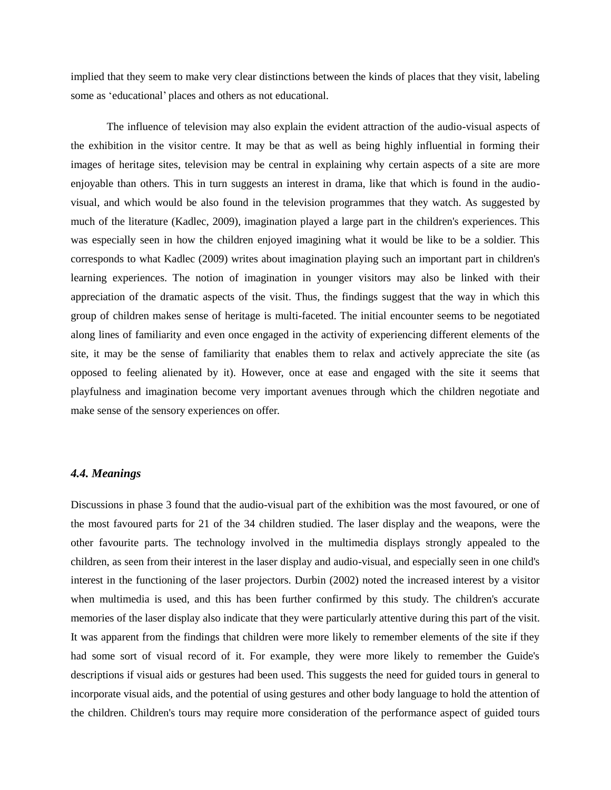implied that they seem to make very clear distinctions between the kinds of places that they visit, labeling some as 'educational' places and others as not educational.

The influence of television may also explain the evident attraction of the audio-visual aspects of the exhibition in the visitor centre. It may be that as well as being highly influential in forming their images of heritage sites, television may be central in explaining why certain aspects of a site are more enjoyable than others. This in turn suggests an interest in drama, like that which is found in the audiovisual, and which would be also found in the television programmes that they watch. As suggested by much of the literature (Kadlec, 2009), imagination played a large part in the children's experiences. This was especially seen in how the children enjoyed imagining what it would be like to be a soldier. This corresponds to what Kadlec (2009) writes about imagination playing such an important part in children's learning experiences. The notion of imagination in younger visitors may also be linked with their appreciation of the dramatic aspects of the visit. Thus, the findings suggest that the way in which this group of children makes sense of heritage is multi-faceted. The initial encounter seems to be negotiated along lines of familiarity and even once engaged in the activity of experiencing different elements of the site, it may be the sense of familiarity that enables them to relax and actively appreciate the site (as opposed to feeling alienated by it). However, once at ease and engaged with the site it seems that playfulness and imagination become very important avenues through which the children negotiate and make sense of the sensory experiences on offer.

# *4.4. Meanings*

Discussions in phase 3 found that the audio-visual part of the exhibition was the most favoured, or one of the most favoured parts for 21 of the 34 children studied. The laser display and the weapons, were the other favourite parts. The technology involved in the multimedia displays strongly appealed to the children, as seen from their interest in the laser display and audio-visual, and especially seen in one child's interest in the functioning of the laser projectors. Durbin (2002) noted the increased interest by a visitor when multimedia is used, and this has been further confirmed by this study. The children's accurate memories of the laser display also indicate that they were particularly attentive during this part of the visit. It was apparent from the findings that children were more likely to remember elements of the site if they had some sort of visual record of it. For example, they were more likely to remember the Guide's descriptions if visual aids or gestures had been used. This suggests the need for guided tours in general to incorporate visual aids, and the potential of using gestures and other body language to hold the attention of the children. Children's tours may require more consideration of the performance aspect of guided tours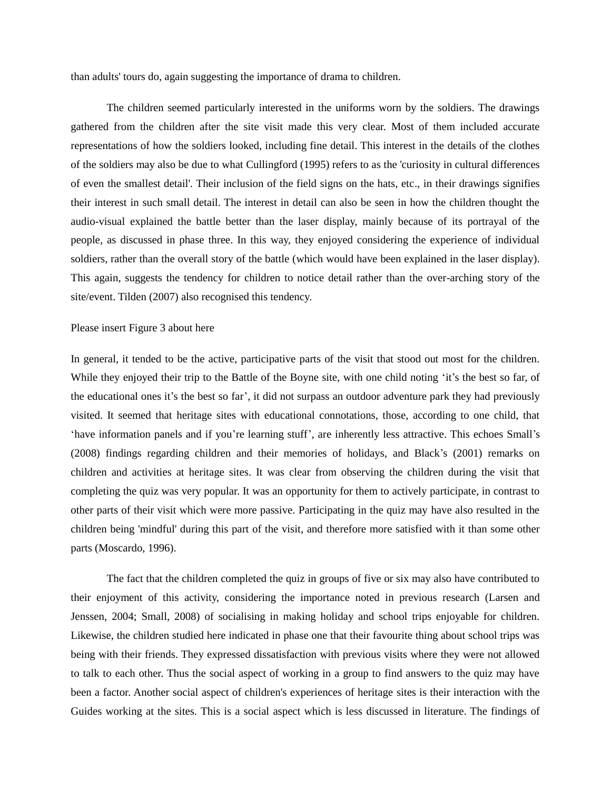than adults' tours do, again suggesting the importance of drama to children.

The children seemed particularly interested in the uniforms worn by the soldiers. The drawings gathered from the children after the site visit made this very clear. Most of them included accurate representations of how the soldiers looked, including fine detail. This interest in the details of the clothes of the soldiers may also be due to what Cullingford (1995) refers to as the 'curiosity in cultural differences of even the smallest detail'. Their inclusion of the field signs on the hats, etc., in their drawings signifies their interest in such small detail. The interest in detail can also be seen in how the children thought the audio-visual explained the battle better than the laser display, mainly because of its portrayal of the people, as discussed in phase three. In this way, they enjoyed considering the experience of individual soldiers, rather than the overall story of the battle (which would have been explained in the laser display). This again, suggests the tendency for children to notice detail rather than the over-arching story of the site/event. Tilden (2007) also recognised this tendency.

#### Please insert Figure 3 about here

In general, it tended to be the active, participative parts of the visit that stood out most for the children. While they enjoyed their trip to the Battle of the Boyne site, with one child noting 'it's the best so far, of the educational ones it's the best so far', it did not surpass an outdoor adventure park they had previously visited. It seemed that heritage sites with educational connotations, those, according to one child, that 'have information panels and if you're learning stuff', are inherently less attractive. This echoes Small's (2008) findings regarding children and their memories of holidays, and Black's (2001) remarks on children and activities at heritage sites. It was clear from observing the children during the visit that completing the quiz was very popular. It was an opportunity for them to actively participate, in contrast to other parts of their visit which were more passive. Participating in the quiz may have also resulted in the children being 'mindful' during this part of the visit, and therefore more satisfied with it than some other parts (Moscardo, 1996).

The fact that the children completed the quiz in groups of five or six may also have contributed to their enjoyment of this activity, considering the importance noted in previous research (Larsen and Jenssen, 2004; Small, 2008) of socialising in making holiday and school trips enjoyable for children. Likewise, the children studied here indicated in phase one that their favourite thing about school trips was being with their friends. They expressed dissatisfaction with previous visits where they were not allowed to talk to each other. Thus the social aspect of working in a group to find answers to the quiz may have been a factor. Another social aspect of children's experiences of heritage sites is their interaction with the Guides working at the sites. This is a social aspect which is less discussed in literature. The findings of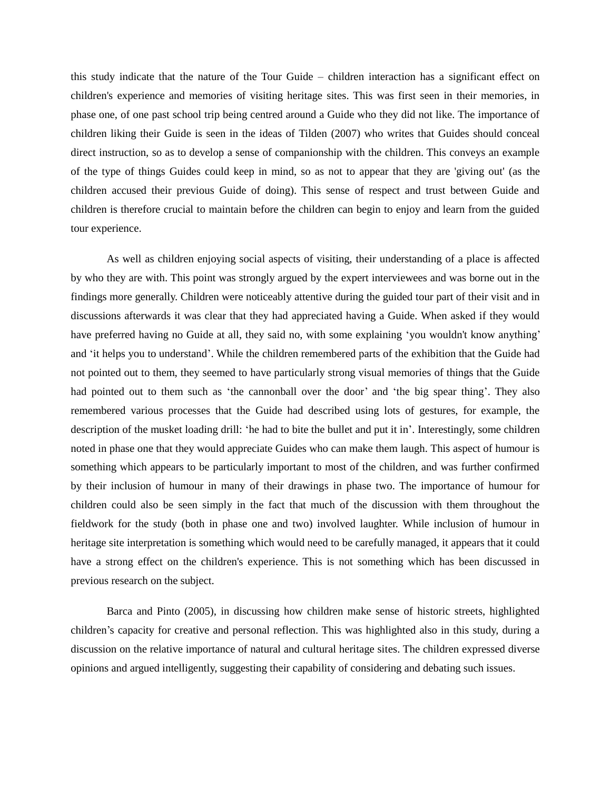this study indicate that the nature of the Tour Guide – children interaction has a significant effect on children's experience and memories of visiting heritage sites. This was first seen in their memories, in phase one, of one past school trip being centred around a Guide who they did not like. The importance of children liking their Guide is seen in the ideas of Tilden (2007) who writes that Guides should conceal direct instruction, so as to develop a sense of companionship with the children. This conveys an example of the type of things Guides could keep in mind, so as not to appear that they are 'giving out' (as the children accused their previous Guide of doing). This sense of respect and trust between Guide and children is therefore crucial to maintain before the children can begin to enjoy and learn from the guided tour experience.

As well as children enjoying social aspects of visiting, their understanding of a place is affected by who they are with. This point was strongly argued by the expert interviewees and was borne out in the findings more generally. Children were noticeably attentive during the guided tour part of their visit and in discussions afterwards it was clear that they had appreciated having a Guide. When asked if they would have preferred having no Guide at all, they said no, with some explaining 'you wouldn't know anything' and 'it helps you to understand'. While the children remembered parts of the exhibition that the Guide had not pointed out to them, they seemed to have particularly strong visual memories of things that the Guide had pointed out to them such as 'the cannonball over the door' and 'the big spear thing'. They also remembered various processes that the Guide had described using lots of gestures, for example, the description of the musket loading drill: 'he had to bite the bullet and put it in'. Interestingly, some children noted in phase one that they would appreciate Guides who can make them laugh. This aspect of humour is something which appears to be particularly important to most of the children, and was further confirmed by their inclusion of humour in many of their drawings in phase two. The importance of humour for children could also be seen simply in the fact that much of the discussion with them throughout the fieldwork for the study (both in phase one and two) involved laughter. While inclusion of humour in heritage site interpretation is something which would need to be carefully managed, it appears that it could have a strong effect on the children's experience. This is not something which has been discussed in previous research on the subject.

Barca and Pinto (2005), in discussing how children make sense of historic streets, highlighted children's capacity for creative and personal reflection. This was highlighted also in this study, during a discussion on the relative importance of natural and cultural heritage sites. The children expressed diverse opinions and argued intelligently, suggesting their capability of considering and debating such issues.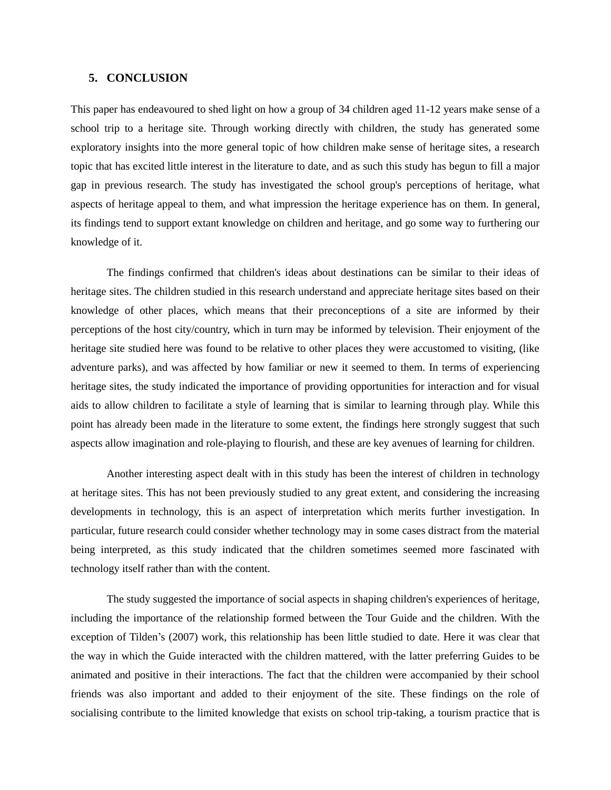#### **5. CONCLUSION**

This paper has endeavoured to shed light on how a group of 34 children aged 11-12 years make sense of a school trip to a heritage site. Through working directly with children, the study has generated some exploratory insights into the more general topic of how children make sense of heritage sites, a research topic that has excited little interest in the literature to date, and as such this study has begun to fill a major gap in previous research. The study has investigated the school group's perceptions of heritage, what aspects of heritage appeal to them, and what impression the heritage experience has on them. In general, its findings tend to support extant knowledge on children and heritage, and go some way to furthering our knowledge of it.

The findings confirmed that children's ideas about destinations can be similar to their ideas of heritage sites. The children studied in this research understand and appreciate heritage sites based on their knowledge of other places, which means that their preconceptions of a site are informed by their perceptions of the host city/country, which in turn may be informed by television. Their enjoyment of the heritage site studied here was found to be relative to other places they were accustomed to visiting, (like adventure parks), and was affected by how familiar or new it seemed to them. In terms of experiencing heritage sites, the study indicated the importance of providing opportunities for interaction and for visual aids to allow children to facilitate a style of learning that is similar to learning through play. While this point has already been made in the literature to some extent, the findings here strongly suggest that such aspects allow imagination and role-playing to flourish, and these are key avenues of learning for children.

Another interesting aspect dealt with in this study has been the interest of children in technology at heritage sites. This has not been previously studied to any great extent, and considering the increasing developments in technology, this is an aspect of interpretation which merits further investigation. In particular, future research could consider whether technology may in some cases distract from the material being interpreted, as this study indicated that the children sometimes seemed more fascinated with technology itself rather than with the content.

The study suggested the importance of social aspects in shaping children's experiences of heritage, including the importance of the relationship formed between the Tour Guide and the children. With the exception of Tilden's (2007) work, this relationship has been little studied to date. Here it was clear that the way in which the Guide interacted with the children mattered, with the latter preferring Guides to be animated and positive in their interactions. The fact that the children were accompanied by their school friends was also important and added to their enjoyment of the site. These findings on the role of socialising contribute to the limited knowledge that exists on school trip-taking, a tourism practice that is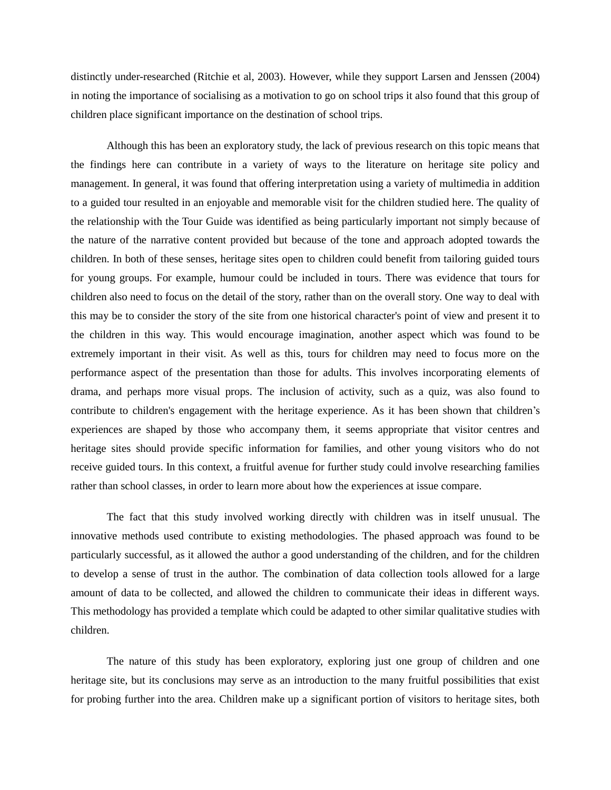distinctly under-researched (Ritchie et al, 2003). However, while they support Larsen and Jenssen (2004) in noting the importance of socialising as a motivation to go on school trips it also found that this group of children place significant importance on the destination of school trips.

Although this has been an exploratory study, the lack of previous research on this topic means that the findings here can contribute in a variety of ways to the literature on heritage site policy and management. In general, it was found that offering interpretation using a variety of multimedia in addition to a guided tour resulted in an enjoyable and memorable visit for the children studied here. The quality of the relationship with the Tour Guide was identified as being particularly important not simply because of the nature of the narrative content provided but because of the tone and approach adopted towards the children. In both of these senses, heritage sites open to children could benefit from tailoring guided tours for young groups. For example, humour could be included in tours. There was evidence that tours for children also need to focus on the detail of the story, rather than on the overall story. One way to deal with this may be to consider the story of the site from one historical character's point of view and present it to the children in this way. This would encourage imagination, another aspect which was found to be extremely important in their visit. As well as this, tours for children may need to focus more on the performance aspect of the presentation than those for adults. This involves incorporating elements of drama, and perhaps more visual props. The inclusion of activity, such as a quiz, was also found to contribute to children's engagement with the heritage experience. As it has been shown that children's experiences are shaped by those who accompany them, it seems appropriate that visitor centres and heritage sites should provide specific information for families, and other young visitors who do not receive guided tours. In this context, a fruitful avenue for further study could involve researching families rather than school classes, in order to learn more about how the experiences at issue compare.

The fact that this study involved working directly with children was in itself unusual. The innovative methods used contribute to existing methodologies. The phased approach was found to be particularly successful, as it allowed the author a good understanding of the children, and for the children to develop a sense of trust in the author. The combination of data collection tools allowed for a large amount of data to be collected, and allowed the children to communicate their ideas in different ways. This methodology has provided a template which could be adapted to other similar qualitative studies with children.

The nature of this study has been exploratory, exploring just one group of children and one heritage site, but its conclusions may serve as an introduction to the many fruitful possibilities that exist for probing further into the area. Children make up a significant portion of visitors to heritage sites, both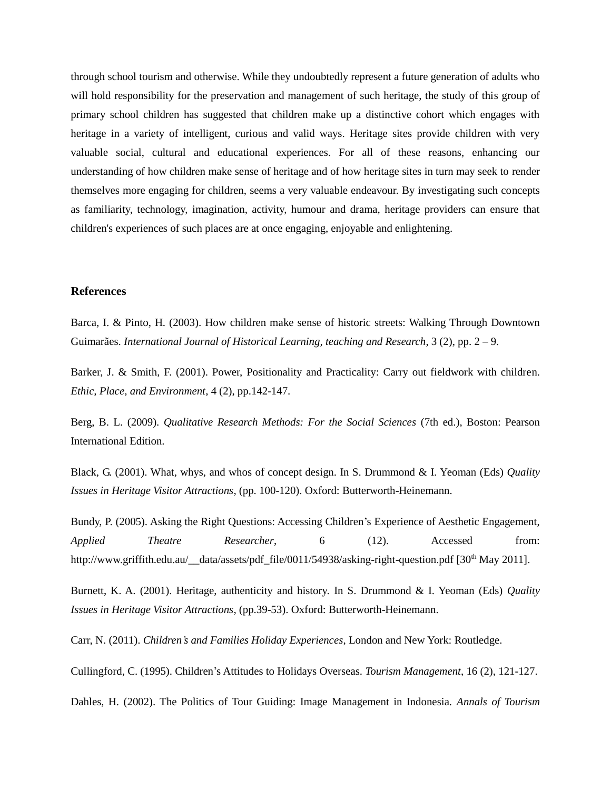through school tourism and otherwise. While they undoubtedly represent a future generation of adults who will hold responsibility for the preservation and management of such heritage, the study of this group of primary school children has suggested that children make up a distinctive cohort which engages with heritage in a variety of intelligent, curious and valid ways. Heritage sites provide children with very valuable social, cultural and educational experiences. For all of these reasons, enhancing our understanding of how children make sense of heritage and of how heritage sites in turn may seek to render themselves more engaging for children, seems a very valuable endeavour. By investigating such concepts as familiarity, technology, imagination, activity, humour and drama, heritage providers can ensure that children's experiences of such places are at once engaging, enjoyable and enlightening.

#### **References**

Barca, I. & Pinto, H. (2003). How children make sense of historic streets: Walking Through Downtown Guimarães. *International Journal of Historical Learning, teaching and Research*, 3 (2), pp. 2 – 9.

Barker, J. & Smith, F. (2001). Power, Positionality and Practicality: Carry out fieldwork with children. *Ethic, Place, and Environment*, 4 (2), pp.142-147.

Berg, B. L. (2009). *Qualitative Research Methods: For the Social Sciences* (7th ed.), Boston: Pearson International Edition.

Black, G. (2001). What, whys, and whos of concept design. In S. Drummond & I. Yeoman (Eds) *Quality Issues in Heritage Visitor Attractions*, (pp. 100-120). Oxford: Butterworth-Heinemann.

Bundy, P. (2005). Asking the Right Questions: Accessing Children's Experience of Aesthetic Engagement, *Applied Theatre Researcher*, 6 (12). Accessed from: http://www.griffith.edu.au/\_data/assets/pdf\_file/0011/54938/asking-right-question.pdf [30<sup>th</sup> May 2011].

Burnett, K. A. (2001). Heritage, authenticity and history. In S. Drummond & I. Yeoman (Eds) *Quality Issues in Heritage Visitor Attractions*, (pp.39-53). Oxford: Butterworth-Heinemann.

Carr, N. (2011). *Children's and Families Holiday Experiences*, London and New York: Routledge.

Cullingford, C. (1995). Children's Attitudes to Holidays Overseas. *Tourism Management*, 16 (2), 121-127.

Dahles, H. (2002). The Politics of Tour Guiding: Image Management in Indonesia. *Annals of Tourism*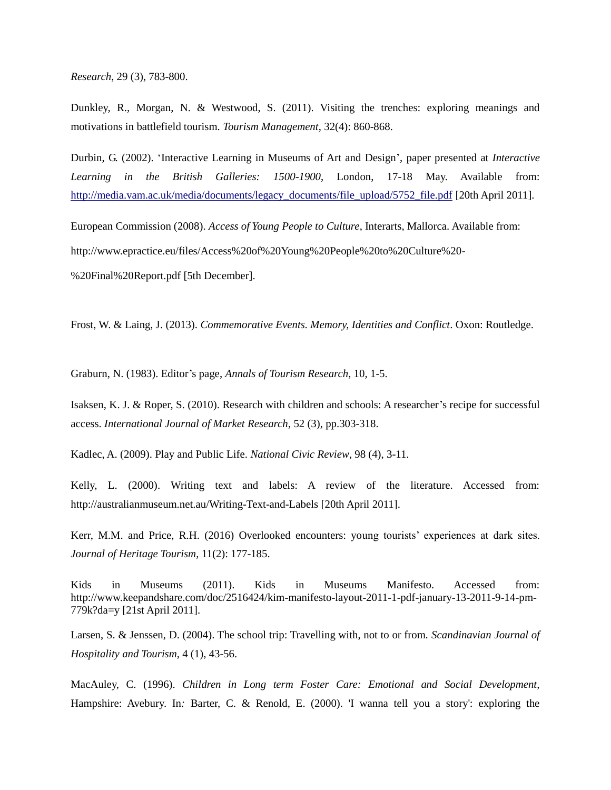*Research*, 29 (3), 783-800.

Dunkley, R., Morgan, N. & Westwood, S. (2011). Visiting the trenches: exploring meanings and motivations in battlefield tourism. *Tourism Management*, 32(4): 860-868.

Durbin, G. (2002). 'Interactive Learning in Museums of Art and Design', paper presented at *Interactive Learning in the British Galleries: 1500-1900*, London, 17-18 May. Available from: [http://media.vam.ac.uk/media/documents/legacy\\_documents/file\\_upload/5752\\_file.pdf](http://media.vam.ac.uk/media/documents/legacy_documents/file_upload/5752_file.pdf) [20th April 2011].

European Commission (2008). *Access of Young People to Culture*, Interarts, Mallorca. Available from: http://www.epractice.eu/files/Access%20of%20Young%20People%20to%20Culture%20- %20Final%20Report.pdf [5th December].

Frost, W. & Laing, J. (2013). *Commemorative Events. Memory, Identities and Conflict*. Oxon: Routledge.

Graburn, N. (1983). Editor's page, *Annals of Tourism Research*, 10, 1-5.

Isaksen, K. J. & Roper, S. (2010). Research with children and schools: A researcher's recipe for successful access. *International Journal of Market Research*, 52 (3), pp.303-318.

Kadlec, A. (2009). Play and Public Life. *National Civic Review*, 98 (4), 3-11.

Kelly, L. (2000). Writing text and labels: A review of the literature. Accessed from: http://australianmuseum.net.au/Writing-Text-and-Labels [20th April 2011].

Kerr, M.M. and Price, R.H. (2016) Overlooked encounters: young tourists' experiences at dark sites. *Journal of Heritage Tourism*, 11(2): 177-185.

Kids in Museums (2011). Kids in Museums Manifesto. Accessed from: http://www.keepandshare.com/doc/2516424/kim-manifesto-layout-2011-1-pdf-january-13-2011-9-14-pm-779k?da=y [21st April 2011].

Larsen, S. & Jenssen, D. (2004). The school trip: Travelling with, not to or from. *Scandinavian Journal of Hospitality and Tourism*, 4 (1), 43-56.

MacAuley, C. (1996). *Children in Long term Foster Care: Emotional and Social Development,*  Hampshire: Avebury. In*:* Barter, C. & Renold, E. (2000). 'I wanna tell you a story': exploring the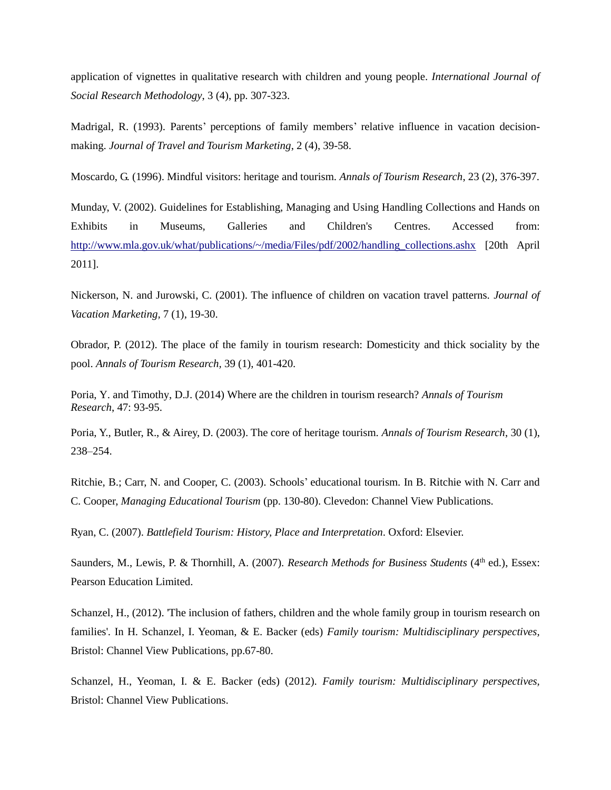application of vignettes in qualitative research with children and young people. *International Journal of Social Research Methodology*, 3 (4), pp. 307-323.

Madrigal, R. (1993). Parents' perceptions of family members' relative influence in vacation decisionmaking. *Journal of Travel and Tourism Marketing*, 2 (4), 39-58.

Moscardo, G. (1996). Mindful visitors: heritage and tourism. *Annals of Tourism Research*, 23 (2), 376-397.

Munday, V. (2002). Guidelines for Establishing, Managing and Using Handling Collections and Hands on Exhibits in Museums, Galleries and Children's Centres. Accessed from: [http://www.mla.gov.uk/what/publications/~/media/Files/pdf/2002/handling\\_collections.ashx](http://www.mla.gov.uk/what/publications/~/media/Files/pdf/2002/handling_collections.ashx) [20th April 2011].

Nickerson, N. and Jurowski, C. (2001). The influence of children on vacation travel patterns. *Journal of Vacation Marketing,* 7 (1), 19-30.

Obrador, P. (2012). The place of the family in tourism research: Domesticity and thick sociality by the pool. *Annals of Tourism Research,* 39 (1), 401-420.

Poria, Y. and Timothy, D.J. (2014) Where are the children in tourism research? *Annals of Tourism Research*, 47: 93-95.

Poria, Y., Butler, R., & Airey, D. (2003). The core of heritage tourism. *Annals of Tourism Research*, 30 (1), 238–254.

Ritchie, B.; Carr, N. and Cooper, C. (2003). Schools' educational tourism. In B. Ritchie with N. Carr and C. Cooper, *Managing Educational Tourism* (pp. 130-80). Clevedon: Channel View Publications.

Ryan, C. (2007). *Battlefield Tourism: History, Place and Interpretation*. Oxford: Elsevier.

Saunders, M., Lewis, P. & Thornhill, A. (2007). *Research Methods for Business Students* (4<sup>th</sup> ed.), Essex: Pearson Education Limited.

Schanzel, H., (2012). 'The inclusion of fathers, children and the whole family group in tourism research on families'. In H. Schanzel, I. Yeoman, & E. Backer (eds) *Family tourism: Multidisciplinary perspectives,*  Bristol: Channel View Publications, pp.67-80.

Schanzel, H., Yeoman, I. & E. Backer (eds) (2012). *Family tourism: Multidisciplinary perspectives,*  Bristol: Channel View Publications.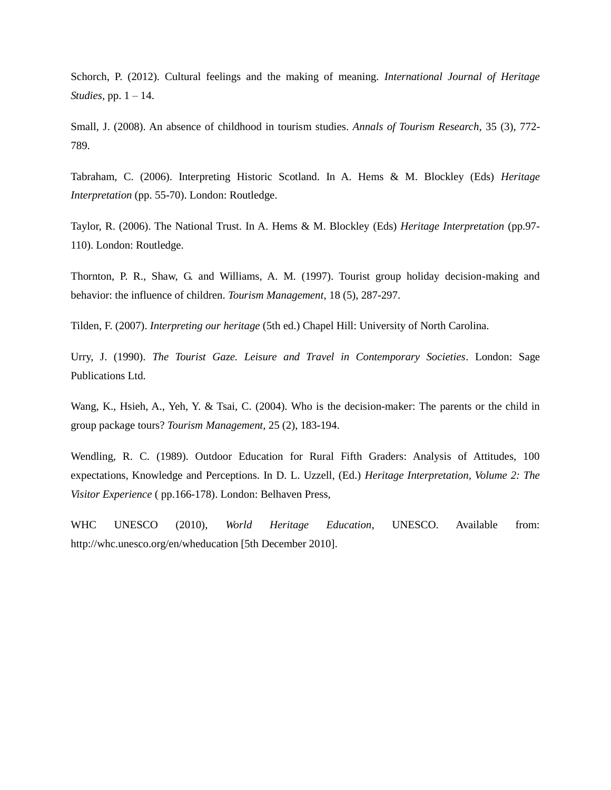Schorch, P. (2012). Cultural feelings and the making of meaning. *International Journal of Heritage Studies,* pp. 1 – 14.

Small, J. (2008). An absence of childhood in tourism studies. *Annals of Tourism Research*, 35 (3), 772- 789.

Tabraham, C. (2006). Interpreting Historic Scotland. In A. Hems & M. Blockley (Eds) *Heritage Interpretation* (pp. 55-70). London: Routledge.

Taylor, R. (2006). The National Trust. In A. Hems & M. Blockley (Eds) *Heritage Interpretation* (pp.97- 110). London: Routledge.

Thornton, P. R., Shaw, G. and Williams, A. M. (1997). Tourist group holiday decision-making and behavior: the influence of children. *Tourism Management*, 18 (5), 287-297.

Tilden, F. (2007). *Interpreting our heritage* (5th ed.) Chapel Hill: University of North Carolina.

Urry, J. (1990). *The Tourist Gaze. Leisure and Travel in Contemporary Societies*. London: Sage Publications Ltd.

Wang, K., Hsieh, A., Yeh, Y. & Tsai, C. (2004). Who is the decision-maker: The parents or the child in group package tours? *Tourism Management*, 25 (2), 183-194.

Wendling, R. C. (1989). Outdoor Education for Rural Fifth Graders: Analysis of Attitudes, 100 expectations, Knowledge and Perceptions. In D. L. Uzzell, (Ed.) *Heritage Interpretation, Volume 2: The Visitor Experience* ( pp.166-178). London: Belhaven Press,

WHC UNESCO (2010), *World Heritage Education*, UNESCO. Available from: http://whc.unesco.org/en/wheducation [5th December 2010].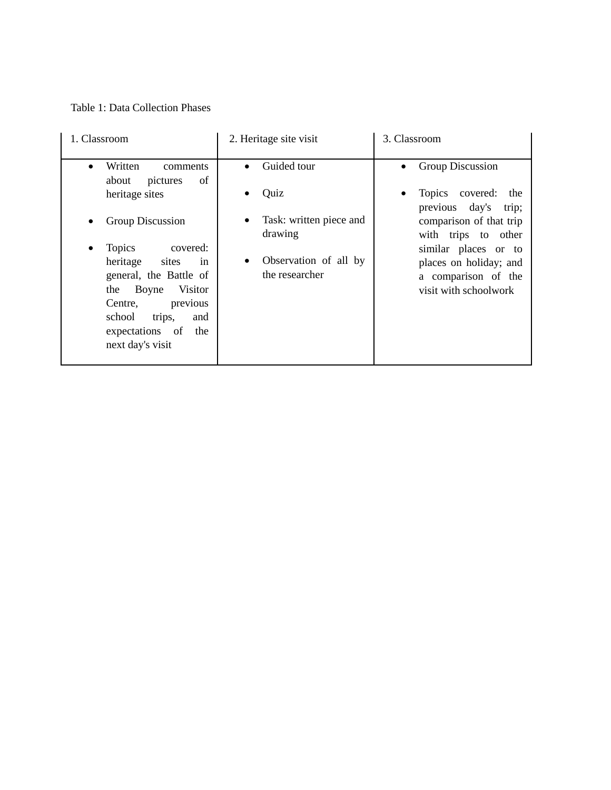# Table 1: Data Collection Phases

| 1. Classroom                                                                                                                                                                                                | 2. Heritage site visit                          | 3. Classroom                                                                                                     |
|-------------------------------------------------------------------------------------------------------------------------------------------------------------------------------------------------------------|-------------------------------------------------|------------------------------------------------------------------------------------------------------------------|
| Written<br>comments<br>$\bullet$<br>pictures<br>about<br>of                                                                                                                                                 | Guided tour                                     | Group Discussion<br>٠                                                                                            |
| heritage sites<br>Group Discussion                                                                                                                                                                          | Quiz<br>٠<br>Task: written piece and<br>drawing | Topics covered:<br>the<br>$\bullet$<br>previous day's<br>trip;<br>comparison of that trip<br>with trips to other |
| <b>Topics</b><br>covered:<br>٠<br>heritage<br>sites<br>in<br>general, the Battle of<br>Visitor<br>the Boyne<br>previous<br>Centre,<br>school<br>trips,<br>and<br>expectations of<br>the<br>next day's visit | Observation of all by<br>the researcher         | similar places or to<br>places on holiday; and<br>a comparison of the<br>visit with schoolwork                   |